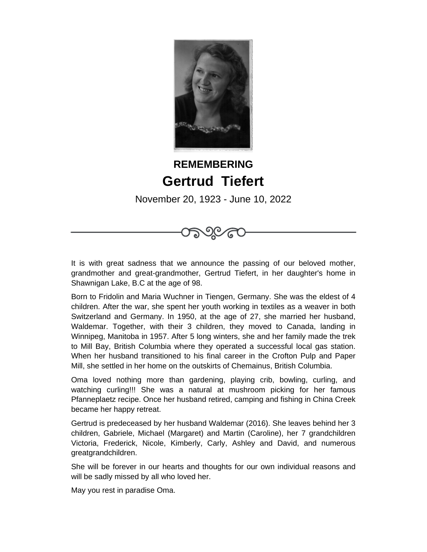

## **REMEMBERING Gertrud Tiefert**

November 20, 1923 - June 10, 2022

೧೯೨೦೯

It is with great sadness that we announce the passing of our beloved mother, grandmother and great-grandmother, Gertrud Tiefert, in her daughter's home in Shawnigan Lake, B.C at the age of 98.

Born to Fridolin and Maria Wuchner in Tiengen, Germany. She was the eldest of 4 children. After the war, she spent her youth working in textiles as a weaver in both Switzerland and Germany. In 1950, at the age of 27, she married her husband, Waldemar. Together, with their 3 children, they moved to Canada, landing in Winnipeg, Manitoba in 1957. After 5 long winters, she and her family made the trek to Mill Bay, British Columbia where they operated a successful local gas station. When her husband transitioned to his final career in the Crofton Pulp and Paper Mill, she settled in her home on the outskirts of Chemainus, British Columbia.

Oma loved nothing more than gardening, playing crib, bowling, curling, and watching curling!!! She was a natural at mushroom picking for her famous Pfanneplaetz recipe. Once her husband retired, camping and fishing in China Creek became her happy retreat.

Gertrud is predeceased by her husband Waldemar (2016). She leaves behind her 3 children, Gabriele, Michael (Margaret) and Martin (Caroline), her 7 grandchildren Victoria, Frederick, Nicole, Kimberly, Carly, Ashley and David, and numerous greatgrandchildren.

She will be forever in our hearts and thoughts for our own individual reasons and will be sadly missed by all who loved her.

May you rest in paradise Oma.